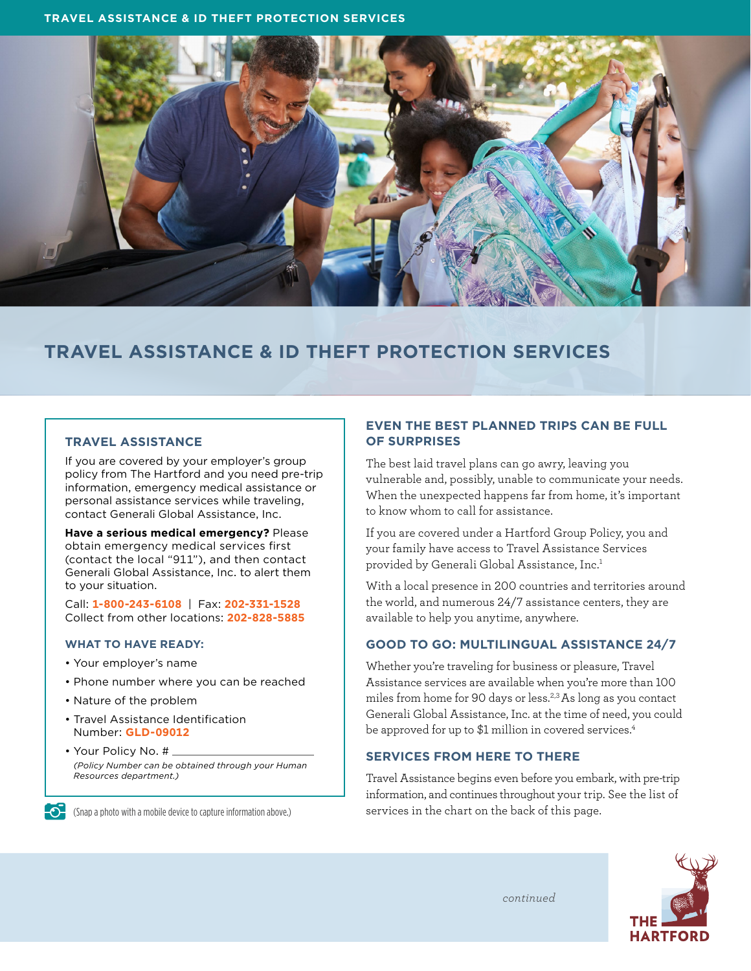

# **TRAVEL ASSISTANCE & ID THEFT PROTECTION SERVICES**

#### **TRAVEL ASSISTANCE**

If you are covered by your employer's group policy from The Hartford and you need pre-trip information, emergency medical assistance or personal assistance services while traveling, contact Generali Global Assistance, Inc.

**Have a serious medical emergency?** Please obtain emergency medical services first (contact the local "911"), and then contact Generali Global Assistance, Inc. to alert them to your situation.

Call: **1-800-243-6108** | Fax: **202-331-1528** Collect from other locations: **202-828-5885**

#### **WHAT TO HAVE READY:**

- Your employer's name
- Phone number where you can be reached
- Nature of the problem
- Travel Assistance Identification Number: **GLD-09012**
- Your Policy No. # *(Policy Number can be obtained through your Human Resources department.)*

(Snap a photo with a mobile device to capture information above.)

#### **EVEN THE BEST PLANNED TRIPS CAN BE FULL OF SURPRISES**

The best laid travel plans can go awry, leaving you vulnerable and, possibly, unable to communicate your needs. When the unexpected happens far from home, it's important to know whom to call for assistance.

If you are covered under a Hartford Group Policy, you and your family have access to Travel Assistance Services provided by Generali Global Assistance, Inc.<sup>1</sup>

With a local presence in 200 countries and territories around the world, and numerous 24/7 assistance centers, they are available to help you anytime, anywhere.

#### **GOOD TO GO: MULTILINGUAL ASSISTANCE 24/7**

Whether you're traveling for business or pleasure, Travel Assistance services are available when you're more than 100 miles from home for 90 days or less.2,3 As long as you contact Generali Global Assistance, Inc. at the time of need, you could be approved for up to \$1 million in covered services.<sup>4</sup>

#### **SERVICES FROM HERE TO THERE**

Travel Assistance begins even before you embark, with pre-trip information, and continues throughout your trip. See the list of services in the chart on the back of this page.



*continued*